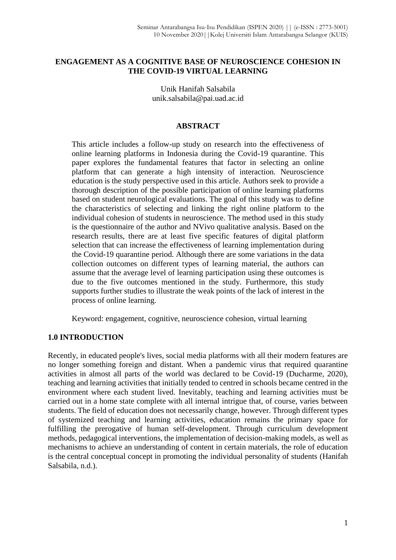## **ENGAGEMENT AS A COGNITIVE BASE OF NEUROSCIENCE COHESION IN THE COVID-19 VIRTUAL LEARNING**

Unik Hanifah Salsabila unik.salsabila@pai.uad.ac.id

### **ABSTRACT**

This article includes a follow-up study on research into the effectiveness of online learning platforms in Indonesia during the Covid-19 quarantine. This paper explores the fundamental features that factor in selecting an online platform that can generate a high intensity of interaction. Neuroscience education is the study perspective used in this article. Authors seek to provide a thorough description of the possible participation of online learning platforms based on student neurological evaluations. The goal of this study was to define the characteristics of selecting and linking the right online platform to the individual cohesion of students in neuroscience. The method used in this study is the questionnaire of the author and NVivo qualitative analysis. Based on the research results, there are at least five specific features of digital platform selection that can increase the effectiveness of learning implementation during the Covid-19 quarantine period. Although there are some variations in the data collection outcomes on different types of learning material, the authors can assume that the average level of learning participation using these outcomes is due to the five outcomes mentioned in the study. Furthermore, this study supports further studies to illustrate the weak points of the lack of interest in the process of online learning.

Keyword: engagement, cognitive, neuroscience cohesion, virtual learning

# **1.0 INTRODUCTION**

Recently, in educated people's lives, social media platforms with all their modern features are no longer something foreign and distant. When a pandemic virus that required quarantine activities in almost all parts of the world was declared to be Covid-19 (Ducharme, 2020), teaching and learning activities that initially tended to centred in schools became centred in the environment where each student lived. Inevitably, teaching and learning activities must be carried out in a home state complete with all internal intrigue that, of course, varies between students. The field of education does not necessarily change, however. Through different types of systemized teaching and learning activities, education remains the primary space for fulfilling the prerogative of human self-development. Through curriculum development methods, pedagogical interventions, the implementation of decision-making models, as well as mechanisms to achieve an understanding of content in certain materials, the role of education is the central conceptual concept in promoting the individual personality of students (Hanifah Salsabila, n.d.).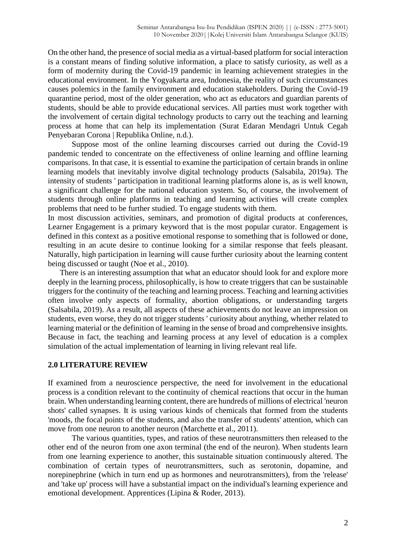On the other hand, the presence of social media as a virtual-based platform for social interaction is a constant means of finding solutive information, a place to satisfy curiosity, as well as a form of modernity during the Covid-19 pandemic in learning achievement strategies in the educational environment. In the Yogyakarta area, Indonesia, the reality of such circumstances causes polemics in the family environment and education stakeholders. During the Covid-19 quarantine period, most of the older generation, who act as educators and guardian parents of students, should be able to provide educational services. All parties must work together with the involvement of certain digital technology products to carry out the teaching and learning process at home that can help its implementation (Surat Edaran Mendagri Untuk Cegah Penyebaran Corona | Republika Online, n.d.).

Suppose most of the online learning discourses carried out during the Covid-19 pandemic tended to concentrate on the effectiveness of online learning and offline learning comparisons. In that case, it is essential to examine the participation of certain brands in online learning models that inevitably involve digital technology products (Salsabila, 2019a). The intensity of students ' participation in traditional learning platforms alone is, as is well known, a significant challenge for the national education system. So, of course, the involvement of students through online platforms in teaching and learning activities will create complex problems that need to be further studied. To engage students with them.

In most discussion activities, seminars, and promotion of digital products at conferences, Learner Engagement is a primary keyword that is the most popular curator. Engagement is defined in this context as a positive emotional response to something that is followed or done, resulting in an acute desire to continue looking for a similar response that feels pleasant. Naturally, high participation in learning will cause further curiosity about the learning content being discussed or taught (Noe et al., 2010).

There is an interesting assumption that what an educator should look for and explore more deeply in the learning process, philosophically, is how to create triggers that can be sustainable triggers for the continuity of the teaching and learning process. Teaching and learning activities often involve only aspects of formality, abortion obligations, or understanding targets (Salsabila, 2019). As a result, all aspects of these achievements do not leave an impression on students, even worse, they do not trigger students ' curiosity about anything, whether related to learning material or the definition of learning in the sense of broad and comprehensive insights. Because in fact, the teaching and learning process at any level of education is a complex simulation of the actual implementation of learning in living relevant real life.

#### **2.0 LITERATURE REVIEW**

If examined from a neuroscience perspective, the need for involvement in the educational process is a condition relevant to the continuity of chemical reactions that occur in the human brain. When understanding learning content, there are hundreds of millions of electrical 'neuron shots' called synapses. It is using various kinds of chemicals that formed from the students 'moods, the focal points of the students, and also the transfer of students' attention, which can move from one neuron to another neuron (Marchette et al., 2011).

The various quantities, types, and ratios of these neurotransmitters then released to the other end of the neuron from one axon terminal (the end of the neuron). When students learn from one learning experience to another, this sustainable situation continuously altered. The combination of certain types of neurotransmitters, such as serotonin, dopamine, and norepinephrine (which in turn end up as hormones and neurotransmitters), from the 'release' and 'take up' process will have a substantial impact on the individual's learning experience and emotional development. Apprentices (Lipina & Roder, 2013).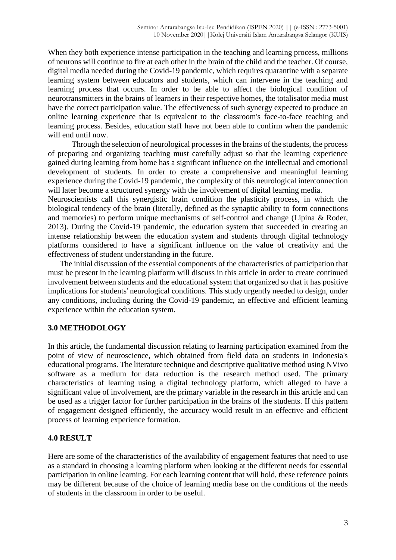When they both experience intense participation in the teaching and learning process, millions of neurons will continue to fire at each other in the brain of the child and the teacher. Of course, digital media needed during the Covid-19 pandemic, which requires quarantine with a separate learning system between educators and students, which can intervene in the teaching and learning process that occurs. In order to be able to affect the biological condition of neurotransmitters in the brains of learners in their respective homes, the totalisator media must have the correct participation value. The effectiveness of such synergy expected to produce an online learning experience that is equivalent to the classroom's face-to-face teaching and learning process. Besides, education staff have not been able to confirm when the pandemic will end until now.

Through the selection of neurological processes in the brains of the students, the process of preparing and organizing teaching must carefully adjust so that the learning experience gained during learning from home has a significant influence on the intellectual and emotional development of students. In order to create a comprehensive and meaningful learning experience during the Covid-19 pandemic, the complexity of this neurological interconnection will later become a structured synergy with the involvement of digital learning media.

Neuroscientists call this synergistic brain condition the plasticity process, in which the biological tendency of the brain (literally, defined as the synaptic ability to form connections and memories) to perform unique mechanisms of self-control and change (Lipina & Roder, 2013). During the Covid-19 pandemic, the education system that succeeded in creating an intense relationship between the education system and students through digital technology platforms considered to have a significant influence on the value of creativity and the effectiveness of student understanding in the future.

The initial discussion of the essential components of the characteristics of participation that must be present in the learning platform will discuss in this article in order to create continued involvement between students and the educational system that organized so that it has positive implications for students' neurological conditions. This study urgently needed to design, under any conditions, including during the Covid-19 pandemic, an effective and efficient learning experience within the education system.

### **3.0 METHODOLOGY**

In this article, the fundamental discussion relating to learning participation examined from the point of view of neuroscience, which obtained from field data on students in Indonesia's educational programs. The literature technique and descriptive qualitative method using NVivo software as a medium for data reduction is the research method used. The primary characteristics of learning using a digital technology platform, which alleged to have a significant value of involvement, are the primary variable in the research in this article and can be used as a trigger factor for further participation in the brains of the students. If this pattern of engagement designed efficiently, the accuracy would result in an effective and efficient process of learning experience formation.

### **4.0 RESULT**

Here are some of the characteristics of the availability of engagement features that need to use as a standard in choosing a learning platform when looking at the different needs for essential participation in online learning. For each learning content that will hold, these reference points may be different because of the choice of learning media base on the conditions of the needs of students in the classroom in order to be useful.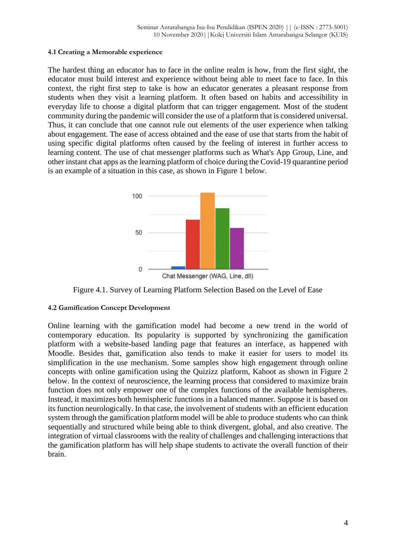#### **4.1 Creating a Memorable experience**

The hardest thing an educator has to face in the online realm is how, from the first sight, the educator must build interest and experience without being able to meet face to face. In this context, the right first step to take is how an educator generates a pleasant response from students when they visit a learning platform. It often based on habits and accessibility in everyday life to choose a digital platform that can trigger engagement. Most of the student community during the pandemic will consider the use of a platform that is considered universal. Thus, it can conclude that one cannot rule out elements of the user experience when talking about engagement. The ease of access obtained and the ease of use that starts from the habit of using specific digital platforms often caused by the feeling of interest in further access to learning content. The use of chat messenger platforms such as What's App Group, Line, and other instant chat apps as the learning platform of choice during the Covid-19 quarantine period is an example of a situation in this case, as shown in Figure 1 below.



Figure 4.1. Survey of Learning Platform Selection Based on the Level of Ease

### **4.2 Gamification Concept Development**

Online learning with the gamification model had become a new trend in the world of contemporary education. Its popularity is supported by synchronizing the gamification platform with a website-based landing page that features an interface, as happened with Moodle. Besides that, gamification also tends to make it easier for users to model its simplification in the use mechanism. Some samples show high engagement through online concepts with online gamification using the Quizizz platform, Kahoot as shown in Figure 2 below. In the context of neuroscience, the learning process that considered to maximize brain function does not only empower one of the complex functions of the available hemispheres. Instead, it maximizes both hemispheric functions in a balanced manner. Suppose it is based on its function neurologically. In that case, the involvement of students with an efficient education system through the gamification platform model will be able to produce students who can think sequentially and structured while being able to think divergent, global, and also creative. The integration of virtual classrooms with the reality of challenges and challenging interactions that the gamification platform has will help shape students to activate the overall function of their brain.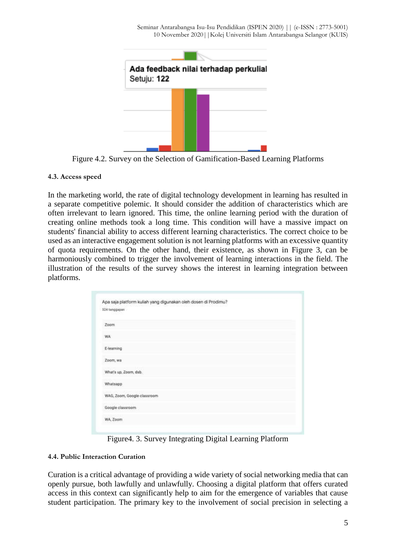

Figure 4.2. Survey on the Selection of Gamification-Based Learning Platforms

## **4.3. Access speed**

In the marketing world, the rate of digital technology development in learning has resulted in a separate competitive polemic. It should consider the addition of characteristics which are often irrelevant to learn ignored. This time, the online learning period with the duration of creating online methods took a long time. This condition will have a massive impact on students' financial ability to access different learning characteristics. The correct choice to be used as an interactive engagement solution is not learning platforms with an excessive quantity of quota requirements. On the other hand, their existence, as shown in Figure 3, can be harmoniously combined to trigger the involvement of learning interactions in the field. The illustration of the results of the survey shows the interest in learning integration between platforms.

|                       | Apa saja platform kuliah yang digunakan oleh dosen di Prodimu? |  |
|-----------------------|----------------------------------------------------------------|--|
| 324 tanggapan         |                                                                |  |
| Zoom                  |                                                                |  |
| <b>WA</b>             |                                                                |  |
| E-learning            |                                                                |  |
| Zoom, wa              |                                                                |  |
| What's up, Zoom, dab. |                                                                |  |
| Whatsapp              |                                                                |  |
|                       | WAG, Zoom, Google classroom                                    |  |
| Google classroom      |                                                                |  |
| WA, Zoom              |                                                                |  |

Figure4. 3. Survey Integrating Digital Learning Platform

# **4.4. Public Interaction Curation**

Curation is a critical advantage of providing a wide variety of social networking media that can openly pursue, both lawfully and unlawfully. Choosing a digital platform that offers curated access in this context can significantly help to aim for the emergence of variables that cause student participation. The primary key to the involvement of social precision in selecting a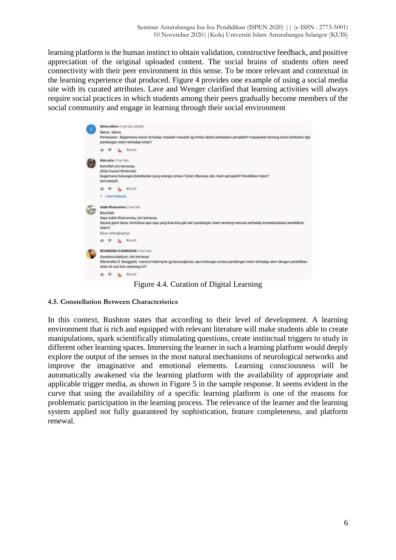learning platform is the human instinct to obtain validation, constructive feedback, and positive appreciation of the original uploaded content. The social brains of students often need connectivity with their peer environment in this sense. To be more relevant and contextual in the learning experience that produced. Figure 4 provides one example of using a social media site with its curated attributes. Lave and Wenger clarified that learning activities will always require social practices in which students among their peers gradually become members of the social community and engage in learning through their social environment



Figure 4.4. Curation of Digital Learning

#### **4.5. Constellation Between Characteristics**

In this context, Rushton states that according to their level of development. A learning environment that is rich and equipped with relevant literature will make students able to create manipulations, spark scientifically stimulating questions, create instinctual triggers to study in different other learning spaces. Immersing the learner in such a learning platform would deeply explore the output of the senses in the most natural mechanisms of neurological networks and improve the imaginative and emotional elements. Learning consciousness will be automatically awakened via the learning platform with the availability of appropriate and applicable trigger media, as shown in Figure 5 in the sample response. It seems evident in the curve that using the availability of a specific learning platform is one of the reasons for problematic participation in the learning process. The relevance of the learner and the learning system applied not fully guaranteed by sophistication, feature completeness, and platform renewal.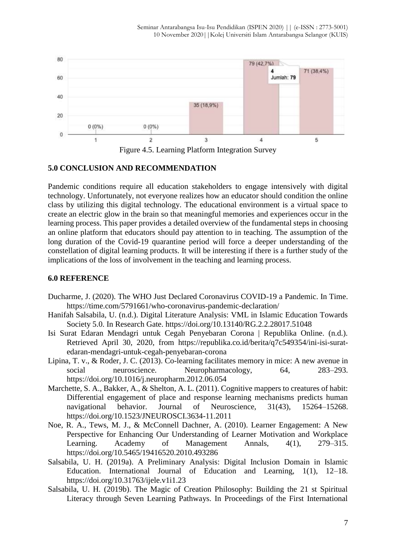

### **5.0 CONCLUSION AND RECOMMENDATION**

Pandemic conditions require all education stakeholders to engage intensively with digital technology. Unfortunately, not everyone realizes how an educator should condition the online class by utilizing this digital technology. The educational environment is a virtual space to create an electric glow in the brain so that meaningful memories and experiences occur in the learning process. This paper provides a detailed overview of the fundamental steps in choosing an online platform that educators should pay attention to in teaching. The assumption of the long duration of the Covid-19 quarantine period will force a deeper understanding of the constellation of digital learning products. It will be interesting if there is a further study of the implications of the loss of involvement in the teaching and learning process.

#### **6.0 REFERENCE**

- Ducharme, J. (2020). The WHO Just Declared Coronavirus COVID-19 a Pandemic. In Time. https://time.com/5791661/who-coronavirus-pandemic-declaration/
- Hanifah Salsabila, U. (n.d.). Digital Literature Analysis: VML in Islamic Education Towards Society 5.0. In Research Gate. https://doi.org/10.13140/RG.2.2.28017.51048
- Isi Surat Edaran Mendagri untuk Cegah Penyebaran Corona | Republika Online. (n.d.). Retrieved April 30, 2020, from https://republika.co.id/berita/q7c549354/ini-isi-suratedaran-mendagri-untuk-cegah-penyebaran-corona
- Lipina, T. v., & Roder, J. C. (2013). Co-learning facilitates memory in mice: A new avenue in social neuroscience. Neuropharmacology, 64, 283–293. https://doi.org/10.1016/j.neuropharm.2012.06.054
- Marchette, S. A., Bakker, A., & Shelton, A. L. (2011). Cognitive mappers to creatures of habit: Differential engagement of place and response learning mechanisms predicts human navigational behavior. Journal of Neuroscience, 31(43), 15264–15268. https://doi.org/10.1523/JNEUROSCI.3634-11.2011
- Noe, R. A., Tews, M. J., & McConnell Dachner, A. (2010). Learner Engagement: A New Perspective for Enhancing Our Understanding of Learner Motivation and Workplace Learning. Academy of Management Annals, 4(1), 279–315. https://doi.org/10.5465/19416520.2010.493286
- Salsabila, U. H. (2019a). A Preliminary Analysis: Digital Inclusion Domain in Islamic Education. International Journal of Education and Learning, 1(1), 12–18. https://doi.org/10.31763/ijele.v1i1.23
- Salsabila, U. H. (2019b). The Magic of Creation Philosophy: Building the 21 st Spiritual Literacy through Seven Learning Pathways. In Proceedings of the First International